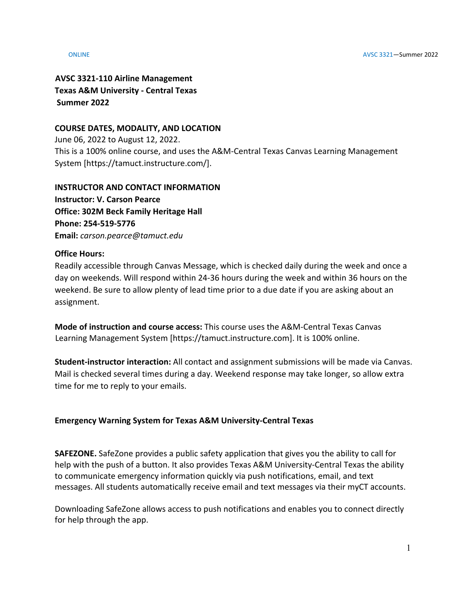**AVSC 3321-110 Airline Management Texas A&M University - Central Texas Summer 2022**

### **COURSE DATES, MODALITY, AND LOCATION**

June 06, 2022 to August 12, 2022. This is a 100% online course, and uses the A&M-Central Texas Canvas Learning Management System [https://tamuct.instructure.com/].

**INSTRUCTOR AND CONTACT INFORMATION Instructor: V. Carson Pearce Office: 302M Beck Family Heritage Hall Phone: 254-519-5776 Email:** *carson.pearce@tamuct.edu*

### **Office Hours:**

Readily accessible through Canvas Message, which is checked daily during the week and once a day on weekends. Will respond within 24-36 hours during the week and within 36 hours on the weekend. Be sure to allow plenty of lead time prior to a due date if you are asking about an assignment.

**Mode of instruction and course access:** This course uses the A&M-Central Texas Canvas Learning Management System [https://tamuct.instructure.com]. It is 100% online.

**Student-instructor interaction:** All contact and assignment submissions will be made via Canvas. Mail is checked several times during a day. Weekend response may take longer, so allow extra time for me to reply to your emails.

# **Emergency Warning System for Texas A&M University-Central Texas**

**SAFEZONE.** SafeZone provides a public safety application that gives you the ability to call for help with the push of a button. It also provides Texas A&M University-Central Texas the ability to communicate emergency information quickly via push notifications, email, and text messages. All students automatically receive email and text messages via their myCT accounts.

Downloading SafeZone allows access to push notifications and enables you to connect directly for help through the app.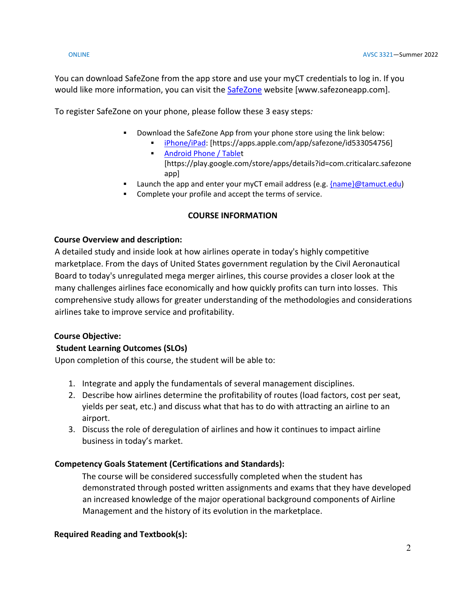You can download SafeZone from the app store and use your myCT credentials to log in. If you would like more information, you can visit the [SafeZone](https://nam04.safelinks.protection.outlook.com/?url=http%3A%2F%2Fwww.safezoneapp.com%2F&data=04%7C01%7Ccarson.pearce%40tamuct.edu%7C36042fab4fc7434c090008d9c3cb353b%7C9eed4e3000f744849ff193ad8005acec%7C0%7C0%7C637756100428183868%7CUnknown%7CTWFpbGZsb3d8eyJWIjoiMC4wLjAwMDAiLCJQIjoiV2luMzIiLCJBTiI6Ik1haWwiLCJXVCI6Mn0%3D%7C3000&sdata=M9GtdIRPIWaqAL85MChHRNMQgb%2FnvmJdfyjR%2BUN19pk%3D&reserved=0) website [www.safezoneapp.com].

To register SafeZone on your phone, please follow these 3 easy steps*:*

- Download the SafeZone App from your phone store using the link below:
	- [iPhone/iPad:](https://nam04.safelinks.protection.outlook.com/?url=https%3A%2F%2Fapps.apple.com%2Fapp%2Fsafezone%2Fid533054756&data=04%7C01%7Ccarson.pearce%40tamuct.edu%7C36042fab4fc7434c090008d9c3cb353b%7C9eed4e3000f744849ff193ad8005acec%7C0%7C0%7C637756100428183868%7CUnknown%7CTWFpbGZsb3d8eyJWIjoiMC4wLjAwMDAiLCJQIjoiV2luMzIiLCJBTiI6Ik1haWwiLCJXVCI6Mn0%3D%7C3000&sdata=vPQVTvekmuTQkNF6pF73JFVExrbMKfheHZ%2BjyIbHOvY%3D&reserved=0) [https://apps.apple.com/app/safezone/id533054756]
	- **[Android Phone / Tablet](https://nam04.safelinks.protection.outlook.com/?url=https%3A%2F%2Fplay.google.com%2Fstore%2Fapps%2Fdetails%3Fid%3Dcom.criticalarc.safezoneapp&data=04%7C01%7Ccarson.pearce%40tamuct.edu%7C36042fab4fc7434c090008d9c3cb353b%7C9eed4e3000f744849ff193ad8005acec%7C0%7C0%7C637756100428183868%7CUnknown%7CTWFpbGZsb3d8eyJWIjoiMC4wLjAwMDAiLCJQIjoiV2luMzIiLCJBTiI6Ik1haWwiLCJXVCI6Mn0%3D%7C3000&sdata=HL5WG7P5ZCWthKyES6ag8naBQllFHtelfPV4m6jfPYg%3D&reserved=0)** [https://play.google.com/store/apps/details?id=com.criticalarc.safezone app]
- **Example 1** Launch the app and enter your myCT email address (e.g.  ${name}$ )  ${theta}$
- Complete your profile and accept the terms of service.

# **COURSE INFORMATION**

# **Course Overview and description:**

A detailed study and inside look at how airlines operate in today's highly competitive marketplace. From the days of United States government regulation by the Civil Aeronautical Board to today's unregulated mega merger airlines, this course provides a closer look at the many challenges airlines face economically and how quickly profits can turn into losses. This comprehensive study allows for greater understanding of the methodologies and considerations airlines take to improve service and profitability.

# **Course Objective:**

# **Student Learning Outcomes (SLOs)**

Upon completion of this course, the student will be able to:

- 1. Integrate and apply the fundamentals of several management disciplines.
- 2. Describe how airlines determine the profitability of routes (load factors, cost per seat, yields per seat, etc.) and discuss what that has to do with attracting an airline to an airport.
- 3. Discuss the role of deregulation of airlines and how it continues to impact airline business in today's market.

# **Competency Goals Statement (Certifications and Standards):**

The course will be considered successfully completed when the student has demonstrated through posted written assignments and exams that they have developed an increased knowledge of the major operational background components of Airline Management and the history of its evolution in the marketplace.

# **Required Reading and Textbook(s):**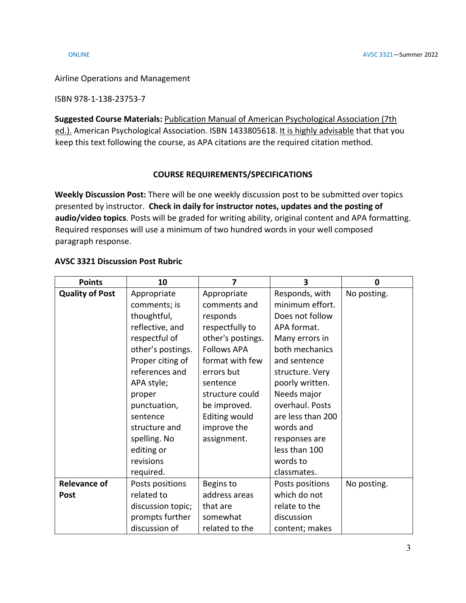Airline Operations and Management

ISBN 978-1-138-23753-7

**Suggested Course Materials:** Publication Manual of American Psychological Association (7th ed.). American Psychological Association. ISBN 1433805618. It is highly advisable that that you keep this text following the course, as APA citations are the required citation method.

### **COURSE REQUIREMENTS/SPECIFICATIONS**

**Weekly Discussion Post:** There will be one weekly discussion post to be submitted over topics presented by instructor. **Check in daily for instructor notes, updates and the posting of audio/video topics**. Posts will be graded for writing ability, original content and APA formatting. Required responses will use a minimum of two hundred words in your well composed paragraph response.

### **AVSC 3321 Discussion Post Rubric**

| <b>Points</b>          | 10                | 7                    | 3                 | $\mathbf 0$ |
|------------------------|-------------------|----------------------|-------------------|-------------|
| <b>Quality of Post</b> | Appropriate       | Appropriate          | Responds, with    | No posting. |
|                        | comments; is      | comments and         | minimum effort.   |             |
|                        | thoughtful,       | responds             | Does not follow   |             |
|                        | reflective, and   | respectfully to      | APA format.       |             |
|                        | respectful of     | other's postings.    | Many errors in    |             |
|                        | other's postings. | <b>Follows APA</b>   | both mechanics    |             |
|                        | Proper citing of  | format with few      | and sentence      |             |
|                        | references and    | errors but           | structure. Very   |             |
|                        | APA style;        | sentence             | poorly written.   |             |
|                        | proper            | structure could      | Needs major       |             |
|                        | punctuation,      | be improved.         | overhaul. Posts   |             |
|                        | sentence          | <b>Editing would</b> | are less than 200 |             |
|                        | structure and     | improve the          | words and         |             |
|                        | spelling. No      | assignment.          | responses are     |             |
|                        | editing or        |                      | less than 100     |             |
|                        | revisions         |                      | words to          |             |
|                        | required.         |                      | classmates.       |             |
| <b>Relevance of</b>    | Posts positions   | Begins to            | Posts positions   | No posting. |
| <b>Post</b>            | related to        | address areas        | which do not      |             |
|                        | discussion topic; | that are             | relate to the     |             |
|                        | prompts further   | somewhat             | discussion        |             |
|                        | discussion of     | related to the       | content; makes    |             |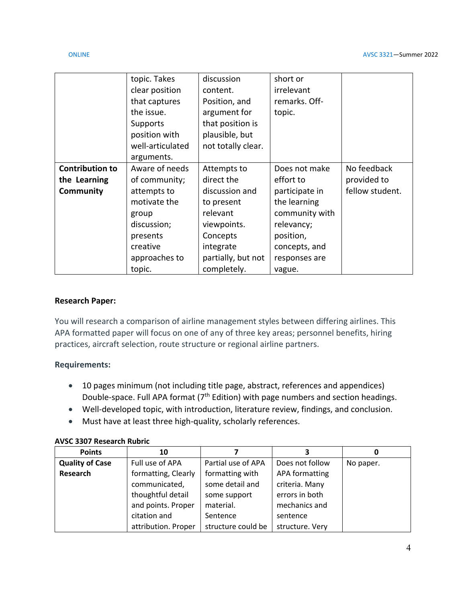|                        | topic. Takes     | discussion         | short or       |                 |
|------------------------|------------------|--------------------|----------------|-----------------|
|                        | clear position   | content.           | irrelevant     |                 |
|                        | that captures    | Position, and      | remarks. Off-  |                 |
|                        | the issue.       | argument for       | topic.         |                 |
|                        | Supports         | that position is   |                |                 |
|                        | position with    | plausible, but     |                |                 |
|                        | well-articulated | not totally clear. |                |                 |
|                        | arguments.       |                    |                |                 |
| <b>Contribution to</b> | Aware of needs   | Attempts to        | Does not make  | No feedback     |
| the Learning           | of community;    | direct the         | effort to      | provided to     |
| Community              | attempts to      | discussion and     | participate in | fellow student. |
|                        | motivate the     | to present         | the learning   |                 |
|                        | group            | relevant           | community with |                 |
|                        | discussion;      | viewpoints.        | relevancy;     |                 |
|                        | presents         | Concepts           | position,      |                 |
|                        | creative         | integrate          | concepts, and  |                 |
|                        | approaches to    | partially, but not | responses are  |                 |
|                        | topic.           | completely.        | vague.         |                 |

### **Research Paper:**

You will research a comparison of airline management styles between differing airlines. This APA formatted paper will focus on one of any of three key areas; personnel benefits, hiring practices, aircraft selection, route structure or regional airline partners.

### **Requirements:**

- 10 pages minimum (not including title page, abstract, references and appendices) Double-space. Full APA format (7<sup>th</sup> Edition) with page numbers and section headings.
- Well-developed topic, with introduction, literature review, findings, and conclusion.
- Must have at least three high-quality, scholarly references.

### **AVSC 3307 Research Rubric**

| <b>Points</b>          | 10                  |                    |                 |           |
|------------------------|---------------------|--------------------|-----------------|-----------|
| <b>Quality of Case</b> | Full use of APA     | Partial use of APA | Does not follow | No paper. |
| Research               | formatting, Clearly | formatting with    | APA formatting  |           |
|                        | communicated,       | some detail and    | criteria. Many  |           |
|                        | thoughtful detail   | some support       | errors in both  |           |
|                        | and points. Proper  | material.          | mechanics and   |           |
|                        | citation and        | Sentence           | sentence        |           |
|                        | attribution. Proper | structure could be | structure. Very |           |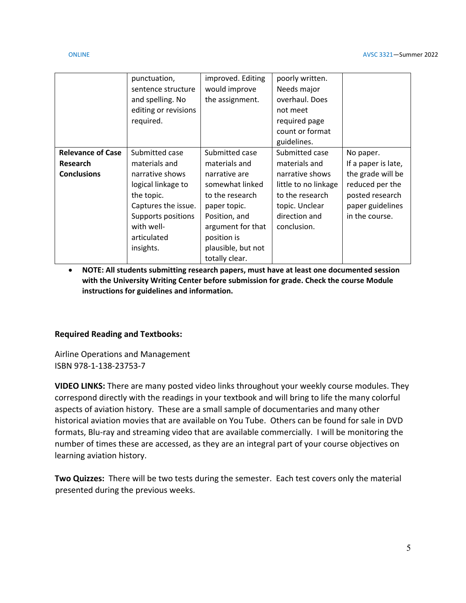|                          | punctuation,         | improved. Editing  | poorly written.      |                     |
|--------------------------|----------------------|--------------------|----------------------|---------------------|
|                          | sentence structure   | would improve      | Needs major          |                     |
|                          | and spelling. No     | the assignment.    | overhaul. Does       |                     |
|                          | editing or revisions |                    | not meet             |                     |
|                          | required.            |                    | required page        |                     |
|                          |                      |                    | count or format      |                     |
|                          |                      |                    | guidelines.          |                     |
| <b>Relevance of Case</b> | Submitted case       | Submitted case     | Submitted case       | No paper.           |
| <b>Research</b>          | materials and        | materials and      | materials and        | If a paper is late, |
| <b>Conclusions</b>       | narrative shows      | narrative are      | narrative shows      | the grade will be   |
|                          | logical linkage to   | somewhat linked    | little to no linkage | reduced per the     |
|                          | the topic.           | to the research    | to the research      | posted research     |
|                          | Captures the issue.  | paper topic.       | topic. Unclear       | paper guidelines    |
|                          | Supports positions   | Position, and      | direction and        | in the course.      |
|                          | with well-           | argument for that  | conclusion.          |                     |
|                          | articulated          | position is        |                      |                     |
|                          | insights.            | plausible, but not |                      |                     |
|                          |                      | totally clear.     |                      |                     |

• **NOTE: All students submitting research papers, must have at least one documented session with the University Writing Center before submission for grade. Check the course Module instructions for guidelines and information.** 

# **Required Reading and Textbooks:**

Airline Operations and Management ISBN 978-1-138-23753-7

**VIDEO LINKS:** There are many posted video links throughout your weekly course modules. They correspond directly with the readings in your textbook and will bring to life the many colorful aspects of aviation history. These are a small sample of documentaries and many other historical aviation movies that are available on You Tube. Others can be found for sale in DVD formats, Blu-ray and streaming video that are available commercially. I will be monitoring the number of times these are accessed, as they are an integral part of your course objectives on learning aviation history.

**Two Quizzes:** There will be two tests during the semester. Each test covers only the material presented during the previous weeks.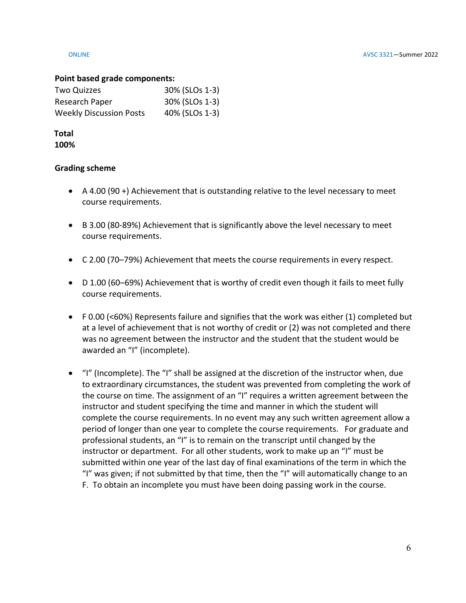### **Point based grade components:**

| Two Quizzes                    | 30% (SLOs 1-3) |
|--------------------------------|----------------|
| Research Paper                 | 30% (SLOs 1-3) |
| <b>Weekly Discussion Posts</b> | 40% (SLOs 1-3) |

### **Total 100%**

### **Grading scheme**

- A 4.00 (90 +) Achievement that is outstanding relative to the level necessary to meet course requirements.
- B 3.00 (80-89%) Achievement that is significantly above the level necessary to meet course requirements.
- C 2.00 (70–79%) Achievement that meets the course requirements in every respect.
- D 1.00 (60–69%) Achievement that is worthy of credit even though it fails to meet fully course requirements.
- F 0.00 (<60%) Represents failure and signifies that the work was either (1) completed but at a level of achievement that is not worthy of credit or (2) was not completed and there was no agreement between the instructor and the student that the student would be awarded an "I" (incomplete).
- "I" (Incomplete). The "I" shall be assigned at the discretion of the instructor when, due to extraordinary circumstances, the student was prevented from completing the work of the course on time. The assignment of an "I" requires a written agreement between the instructor and student specifying the time and manner in which the student will complete the course requirements. In no event may any such written agreement allow a period of longer than one year to complete the course requirements. For graduate and professional students, an "I" is to remain on the transcript until changed by the instructor or department. For all other students, work to make up an "I" must be submitted within one year of the last day of final examinations of the term in which the "I" was given; if not submitted by that time, then the "I" will automatically change to an F. To obtain an incomplete you must have been doing passing work in the course.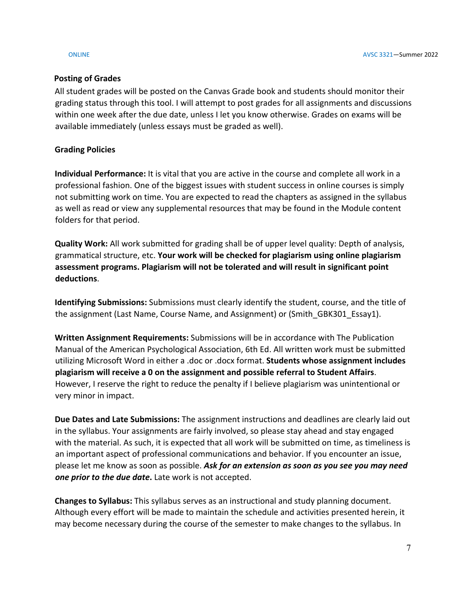# **Posting of Grades**

All student grades will be posted on the Canvas Grade book and students should monitor their grading status through this tool. I will attempt to post grades for all assignments and discussions within one week after the due date, unless I let you know otherwise. Grades on exams will be available immediately (unless essays must be graded as well).

# **Grading Policies**

**Individual Performance:** It is vital that you are active in the course and complete all work in a professional fashion. One of the biggest issues with student success in online courses is simply not submitting work on time. You are expected to read the chapters as assigned in the syllabus as well as read or view any supplemental resources that may be found in the Module content folders for that period.

**Quality Work:** All work submitted for grading shall be of upper level quality: Depth of analysis, grammatical structure, etc. **Your work will be checked for plagiarism using online plagiarism assessment programs. Plagiarism will not be tolerated and will result in significant point deductions**.

**Identifying Submissions:** Submissions must clearly identify the student, course, and the title of the assignment (Last Name, Course Name, and Assignment) or (Smith GBK301 Essay1).

**Written Assignment Requirements:** Submissions will be in accordance with The Publication Manual of the American Psychological Association, 6th Ed. All written work must be submitted utilizing Microsoft Word in either a .doc or .docx format. **Students whose assignment includes plagiarism will receive a 0 on the assignment and possible referral to Student Affairs**. However, I reserve the right to reduce the penalty if I believe plagiarism was unintentional or very minor in impact.

**Due Dates and Late Submissions:** The assignment instructions and deadlines are clearly laid out in the syllabus. Your assignments are fairly involved, so please stay ahead and stay engaged with the material. As such, it is expected that all work will be submitted on time, as timeliness is an important aspect of professional communications and behavior. If you encounter an issue, please let me know as soon as possible. *Ask for an extension as soon as you see you may need one prior to the due date***.** Late work is not accepted.

**Changes to Syllabus:** This syllabus serves as an instructional and study planning document. Although every effort will be made to maintain the schedule and activities presented herein, it may become necessary during the course of the semester to make changes to the syllabus. In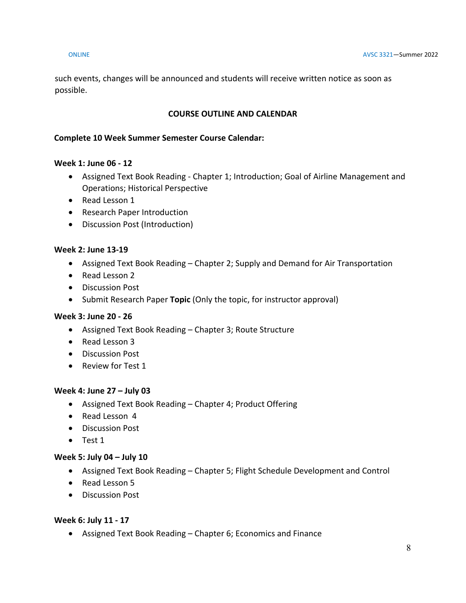such events, changes will be announced and students will receive written notice as soon as possible.

# **COURSE OUTLINE AND CALENDAR**

### **Complete 10 Week Summer Semester Course Calendar:**

### **Week 1: June 06 - 12**

- Assigned Text Book Reading Chapter 1; Introduction; Goal of Airline Management and Operations; Historical Perspective
- Read Lesson 1
- Research Paper Introduction
- Discussion Post (Introduction)

### **Week 2: June 13-19**

- Assigned Text Book Reading Chapter 2; Supply and Demand for Air Transportation
- Read Lesson 2
- Discussion Post
- Submit Research Paper **Topic** (Only the topic, for instructor approval)

# **Week 3: June 20 - 26**

- Assigned Text Book Reading Chapter 3; Route Structure
- Read Lesson 3
- Discussion Post
- Review for Test 1

### **Week 4: June 27 – July 03**

- Assigned Text Book Reading Chapter 4; Product Offering
- Read Lesson 4
- Discussion Post
- Test 1

### **Week 5: July 04 – July 10**

- Assigned Text Book Reading Chapter 5; Flight Schedule Development and Control
- Read Lesson 5
- Discussion Post

### **Week 6: July 11 - 17**

• Assigned Text Book Reading – Chapter 6; Economics and Finance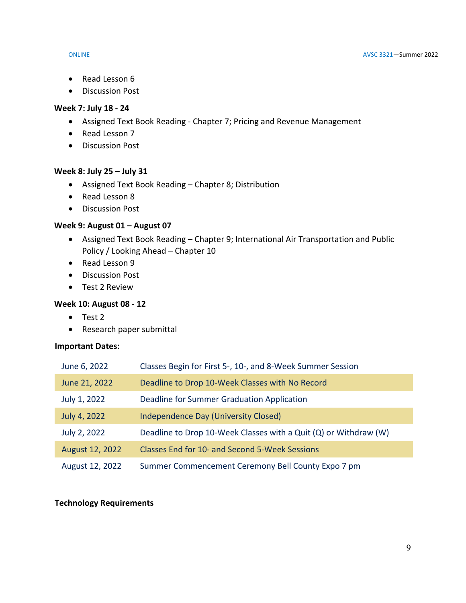- Read Lesson 6
- Discussion Post

### **Week 7: July 18 - 24**

- Assigned Text Book Reading Chapter 7; Pricing and Revenue Management
- Read Lesson 7
- Discussion Post

# **Week 8: July 25 – July 31**

- Assigned Text Book Reading Chapter 8; Distribution
- Read Lesson 8
- Discussion Post

# **Week 9: August 01 – August 07**

- Assigned Text Book Reading Chapter 9; International Air Transportation and Public Policy / Looking Ahead – Chapter 10
- Read Lesson 9
- Discussion Post
- Test 2 Review

# **Week 10: August 08 - 12**

- Test 2
- Research paper submittal

# **Important Dates:**

| June 6, 2022    | Classes Begin for First 5-, 10-, and 8-Week Summer Session       |
|-----------------|------------------------------------------------------------------|
| June 21, 2022   | Deadline to Drop 10-Week Classes with No Record                  |
| July 1, 2022    | Deadline for Summer Graduation Application                       |
| July 4, 2022    | <b>Independence Day (University Closed)</b>                      |
| July 2, 2022    | Deadline to Drop 10-Week Classes with a Quit (Q) or Withdraw (W) |
| August 12, 2022 | Classes End for 10- and Second 5-Week Sessions                   |
| August 12, 2022 | Summer Commencement Ceremony Bell County Expo 7 pm               |

# **Technology Requirements**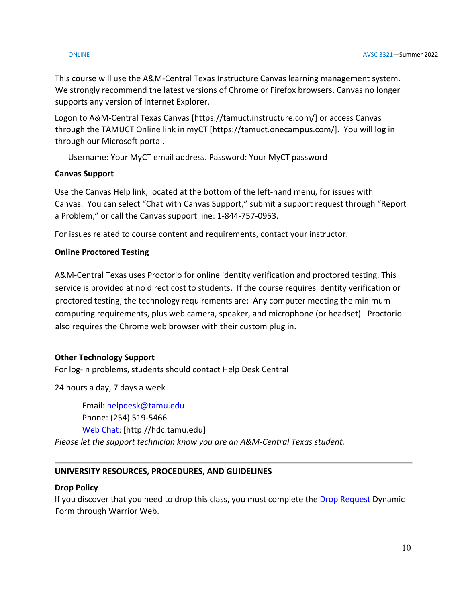### ONLINE AVSC 3321—Summer 2022

This course will use the A&M-Central Texas Instructure Canvas learning management system. We strongly recommend the latest versions of Chrome or Firefox browsers. Canvas no longer supports any version of Internet Explorer.

Logon to A&M-Central Texas Canvas [https://tamuct.instructure.com/] or access Canvas through the TAMUCT Online link in myCT [https://tamuct.onecampus.com/]. You will log in through our Microsoft portal.

Username: Your MyCT email address. Password: Your MyCT password

# **Canvas Support**

Use the Canvas Help link, located at the bottom of the left-hand menu, for issues with Canvas. You can select "Chat with Canvas Support," submit a support request through "Report a Problem," or call the Canvas support line: 1-844-757-0953.

For issues related to course content and requirements, contact your instructor.

# **Online Proctored Testing**

A&M-Central Texas uses Proctorio for online identity verification and proctored testing. This service is provided at no direct cost to students. If the course requires identity verification or proctored testing, the technology requirements are: Any computer meeting the minimum computing requirements, plus web camera, speaker, and microphone (or headset). Proctorio also requires the Chrome web browser with their custom plug in.

# **Other Technology Support**

For log-in problems, students should contact Help Desk Central

24 hours a day, 7 days a week

Email: [helpdesk@tamu.edu](mailto:helpdesk@tamu.edu) Phone: (254) 519-5466 [Web Chat:](http://hdc.tamu.edu/) [http://hdc.tamu.edu] *Please let the support technician know you are an A&M-Central Texas student.*

# **UNIVERSITY RESOURCES, PROCEDURES, AND GUIDELINES**

# **Drop Policy**

If you discover that you need to drop this class, you must complete the [Drop Request](https://dynamicforms.ngwebsolutions.com/casAuthentication.ashx?InstID=eaed95b9-f2be-45f3-a37d-46928168bc10&targetUrl=https%3A%2F%2Fdynamicforms.ngwebsolutions.com%2FSubmit%2FForm%2FStart%2F53b8369e-0502-4f36-be43-f02a4202f612) Dynamic Form through Warrior Web.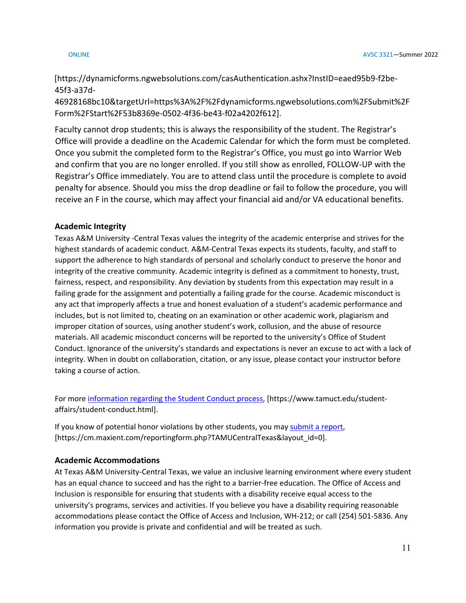[https://dynamicforms.ngwebsolutions.com/casAuthentication.ashx?InstID=eaed95b9-f2be-45f3-a37d-

46928168bc10&targetUrl=https%3A%2F%2Fdynamicforms.ngwebsolutions.com%2FSubmit%2F Form%2FStart%2F53b8369e-0502-4f36-be43-f02a4202f612].

Faculty cannot drop students; this is always the responsibility of the student. The Registrar's Office will provide a deadline on the Academic Calendar for which the form must be completed. Once you submit the completed form to the Registrar's Office, you must go into Warrior Web and confirm that you are no longer enrolled. If you still show as enrolled, FOLLOW-UP with the Registrar's Office immediately. You are to attend class until the procedure is complete to avoid penalty for absence. Should you miss the drop deadline or fail to follow the procedure, you will receive an F in the course, which may affect your financial aid and/or VA educational benefits.

# **Academic Integrity**

Texas A&M University -Central Texas values the integrity of the academic enterprise and strives for the highest standards of academic conduct. A&M-Central Texas expects its students, faculty, and staff to support the adherence to high standards of personal and scholarly conduct to preserve the honor and integrity of the creative community. Academic integrity is defined as a commitment to honesty, trust, fairness, respect, and responsibility. Any deviation by students from this expectation may result in a failing grade for the assignment and potentially a failing grade for the course. Academic misconduct is any act that improperly affects a true and honest evaluation of a student's academic performance and includes, but is not limited to, cheating on an examination or other academic work, plagiarism and improper citation of sources, using another student's work, collusion, and the abuse of resource materials. All academic misconduct concerns will be reported to the university's Office of Student Conduct. Ignorance of the university's standards and expectations is never an excuse to act with a lack of integrity. When in doubt on collaboration, citation, or any issue, please contact your instructor before taking a course of action.

For mor[e information regarding the Student Conduct process,](https://www.tamuct.edu/student-affairs/student-conduct.html) [https://www.tamuct.edu/studentaffairs/student-conduct.html].

If you know of potential honor violations by other students, you may [submit a report,](https://cm.maxient.com/reportingform.php?TAMUCentralTexas&layout_id=0) [https://cm.maxient.com/reportingform.php?TAMUCentralTexas&layout\_id=0].

# **Academic Accommodations**

At Texas A&M University-Central Texas, we value an inclusive learning environment where every student has an equal chance to succeed and has the right to a barrier-free education. The Office of Access and Inclusion is responsible for ensuring that students with a disability receive equal access to the university's programs, services and activities. If you believe you have a disability requiring reasonable accommodations please contact the Office of Access and Inclusion, WH-212; or call (254) 501-5836. Any information you provide is private and confidential and will be treated as such.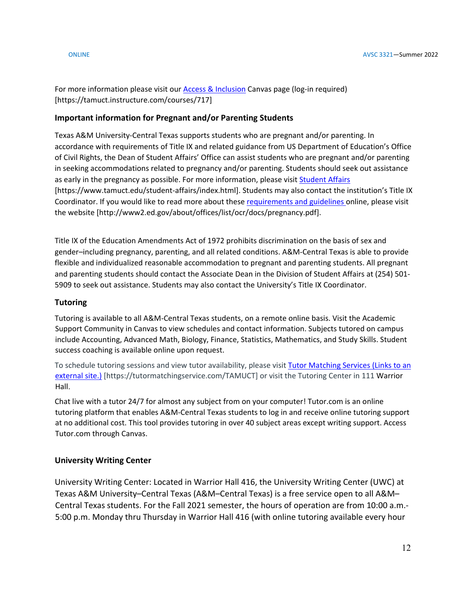For more information please visit our [Access & Inclusion](https://tamuct.instructure.com/courses/717) Canvas page (log-in required) [https://tamuct.instructure.com/courses/717]

### **Important information for Pregnant and/or Parenting Students**

Texas A&M University-Central Texas supports students who are pregnant and/or parenting. In accordance with requirements of Title IX and related guidance from US Department of Education's Office of Civil Rights, the Dean of Student Affairs' Office can assist students who are pregnant and/or parenting in seeking accommodations related to pregnancy and/or parenting. Students should seek out assistance as early in the pregnancy as possible. For more information, please visi[t Student Affairs](https://www.tamuct.edu/student-affairs/index.html) [https://www.tamuct.edu/student-affairs/index.html]. Students may also contact the institution's Title IX Coordinator. If you would like to read more about these [requirements and guidelines](http://www2.ed.gov/about/offices/list/ocr/docs/pregnancy.pdf) online, please visit the website [http://www2.ed.gov/about/offices/list/ocr/docs/pregnancy.pdf].

Title IX of the Education Amendments Act of 1972 prohibits discrimination on the basis of sex and gender–including pregnancy, parenting, and all related conditions. A&M-Central Texas is able to provide flexible and individualized reasonable accommodation to pregnant and parenting students. All pregnant and parenting students should contact the Associate Dean in the Division of Student Affairs at (254) 501- 5909 to seek out assistance. Students may also contact the University's Title IX Coordinator.

### **Tutoring**

Tutoring is available to all A&M-Central Texas students, on a remote online basis. Visit the Academic Support Community in Canvas to view schedules and contact information. Subjects tutored on campus include Accounting, Advanced Math, Biology, Finance, Statistics, Mathematics, and Study Skills. Student success coaching is available online upon request.

To schedule tutoring sessions and view tutor availability, please visit [Tutor Matching Services](https://tutormatchingservice.com/TAMUCT) (Links to an [external](https://tutormatchingservice.com/TAMUCT) site.) [https://tutormatchingservice.com/TAMUCT] or visit the Tutoring Center in 111 Warrior Hall.

Chat live with a tutor 24/7 for almost any subject from on your computer! Tutor.com is an online tutoring platform that enables A&M-Central Texas students to log in and receive online tutoring support at no additional cost. This tool provides tutoring in over 40 subject areas except writing support. Access Tutor.com through Canvas.

# **University Writing Center**

University Writing Center: Located in Warrior Hall 416, the University Writing Center (UWC) at Texas A&M University–Central Texas (A&M–Central Texas) is a free service open to all A&M– Central Texas students. For the Fall 2021 semester, the hours of operation are from 10:00 a.m.- 5:00 p.m. Monday thru Thursday in Warrior Hall 416 (with online tutoring available every hour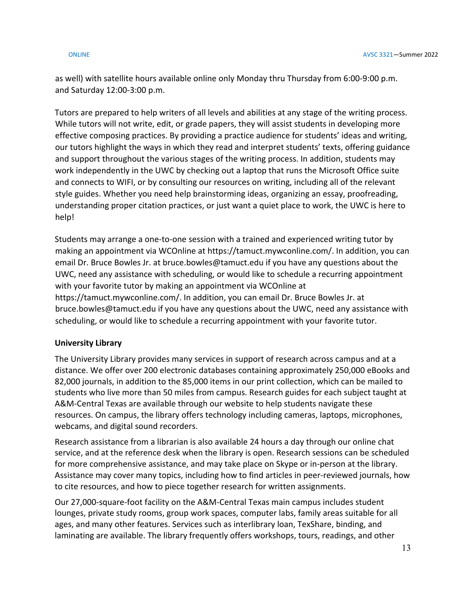as well) with satellite hours available online only Monday thru Thursday from 6:00-9:00 p.m. and Saturday 12:00-3:00 p.m.

Tutors are prepared to help writers of all levels and abilities at any stage of the writing process. While tutors will not write, edit, or grade papers, they will assist students in developing more effective composing practices. By providing a practice audience for students' ideas and writing, our tutors highlight the ways in which they read and interpret students' texts, offering guidance and support throughout the various stages of the writing process. In addition, students may work independently in the UWC by checking out a laptop that runs the Microsoft Office suite and connects to WIFI, or by consulting our resources on writing, including all of the relevant style guides. Whether you need help brainstorming ideas, organizing an essay, proofreading, understanding proper citation practices, or just want a quiet place to work, the UWC is here to help!

Students may arrange a one-to-one session with a trained and experienced writing tutor by making an appointment via WCOnline at https://tamuct.mywconline.com/. In addition, you can email Dr. Bruce Bowles Jr. at bruce.bowles@tamuct.edu if you have any questions about the UWC, need any assistance with scheduling, or would like to schedule a recurring appointment with your favorite tutor by making an appointment via WCOnline at https://tamuct.mywconline.com/. In addition, you can email Dr. Bruce Bowles Jr. at bruce.bowles@tamuct.edu if you have any questions about the UWC, need any assistance with scheduling, or would like to schedule a recurring appointment with your favorite tutor.

# **University Library**

The University Library provides many services in support of research across campus and at a distance. We offer over 200 electronic databases containing approximately 250,000 eBooks and 82,000 journals, in addition to the 85,000 items in our print collection, which can be mailed to students who live more than 50 miles from campus. Research guides for each subject taught at A&M-Central Texas are available through our website to help students navigate these resources. On campus, the library offers technology including cameras, laptops, microphones, webcams, and digital sound recorders.

Research assistance from a librarian is also available 24 hours a day through our online chat service, and at the reference desk when the library is open. Research sessions can be scheduled for more comprehensive assistance, and may take place on Skype or in-person at the library. Assistance may cover many topics, including how to find articles in peer-reviewed journals, how to cite resources, and how to piece together research for written assignments.

Our 27,000-square-foot facility on the A&M-Central Texas main campus includes student lounges, private study rooms, group work spaces, computer labs, family areas suitable for all ages, and many other features. Services such as interlibrary loan, TexShare, binding, and laminating are available. The library frequently offers workshops, tours, readings, and other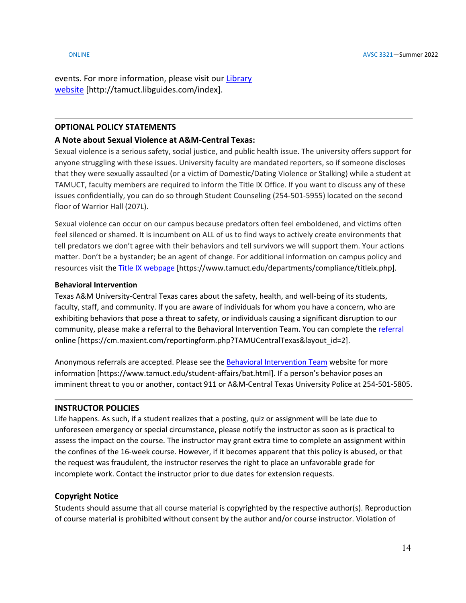events. For more information, please visit our [Library](https://tamuct.libguides.com/index) [website](https://tamuct.libguides.com/index) [http://tamuct.libguides.com/index].

### **OPTIONAL POLICY STATEMENTS**

### **A Note about Sexual Violence at A&M-Central Texas:**

Sexual violence is a serious safety, social justice, and public health issue. The university offers support for anyone struggling with these issues. University faculty are mandated reporters, so if someone discloses that they were sexually assaulted (or a victim of Domestic/Dating Violence or Stalking) while a student at TAMUCT, faculty members are required to inform the Title IX Office. If you want to discuss any of these issues confidentially, you can do so through Student Counseling (254-501-5955) located on the second floor of Warrior Hall (207L).

Sexual violence can occur on our campus because predators often feel emboldened, and victims often feel silenced or shamed. It is incumbent on ALL of us to find ways to actively create environments that tell predators we don't agree with their behaviors and tell survivors we will support them. Your actions matter. Don't be a bystander; be an agent of change. For additional information on campus policy and resources visit the [Title IX webpage](https://www.tamuct.edu/departments/compliance/titleix.php) [https://www.tamuct.edu/departments/compliance/titleix.php].

### **Behavioral Intervention**

Texas A&M University-Central Texas cares about the safety, health, and well-being of its students, faculty, staff, and community. If you are aware of individuals for whom you have a concern, who are exhibiting behaviors that pose a threat to safety, or individuals causing a significant disruption to our community, please make a referral to the Behavioral Intervention Team. You can complete the [referral](https://cm.maxient.com/reportingform.php?TAMUCentralTexas&layout_id=2) online [https://cm.maxient.com/reportingform.php?TAMUCentralTexas&layout\_id=2].

Anonymous referrals are accepted. Please see th[e Behavioral Intervention Team](https://www.tamuct.edu/student-affairs/bat.html) website for more information [https://www.tamuct.edu/student-affairs/bat.html]. If a person's behavior poses an imminent threat to you or another, contact 911 or A&M-Central Texas University Police at 254-501-5805.

### **INSTRUCTOR POLICIES**

Life happens. As such, if a student realizes that a posting, quiz or assignment will be late due to unforeseen emergency or special circumstance, please notify the instructor as soon as is practical to assess the impact on the course. The instructor may grant extra time to complete an assignment within the confines of the 16-week course. However, if it becomes apparent that this policy is abused, or that the request was fraudulent, the instructor reserves the right to place an unfavorable grade for incomplete work. Contact the instructor prior to due dates for extension requests.

### **Copyright Notice**

Students should assume that all course material is copyrighted by the respective author(s). Reproduction of course material is prohibited without consent by the author and/or course instructor. Violation of